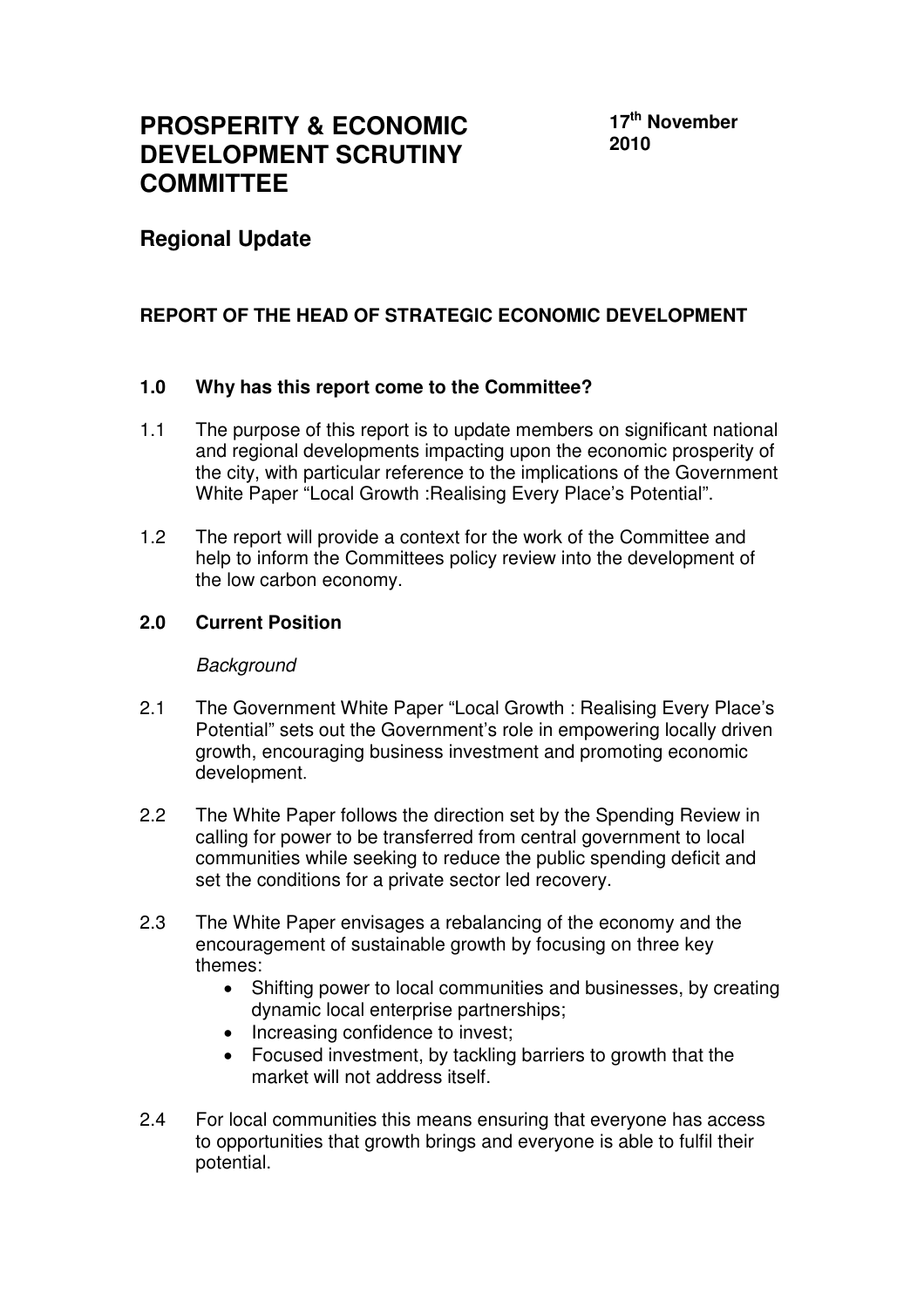# **PROSPERITY & ECONOMIC DEVELOPMENT SCRUTINY COMMITTEE**

**17th November 2010** 

## **Regional Update**

## **REPORT OF THE HEAD OF STRATEGIC ECONOMIC DEVELOPMENT**

#### **1.0 Why has this report come to the Committee?**

- 1.1 The purpose of this report is to update members on significant national and regional developments impacting upon the economic prosperity of the city, with particular reference to the implications of the Government White Paper "Local Growth :Realising Every Place's Potential".
- 1.2 The report will provide a context for the work of the Committee and help to inform the Committees policy review into the development of the low carbon economy.

#### **2.0 Current Position**

#### **Background**

- 2.1 The Government White Paper "Local Growth : Realising Every Place's Potential" sets out the Government's role in empowering locally driven growth, encouraging business investment and promoting economic development.
- 2.2 The White Paper follows the direction set by the Spending Review in calling for power to be transferred from central government to local communities while seeking to reduce the public spending deficit and set the conditions for a private sector led recovery.
- 2.3 The White Paper envisages a rebalancing of the economy and the encouragement of sustainable growth by focusing on three key themes:
	- Shifting power to local communities and businesses, by creating dynamic local enterprise partnerships;
	- Increasing confidence to invest;
	- Focused investment, by tackling barriers to growth that the market will not address itself.
- 2.4 For local communities this means ensuring that everyone has access to opportunities that growth brings and everyone is able to fulfil their potential.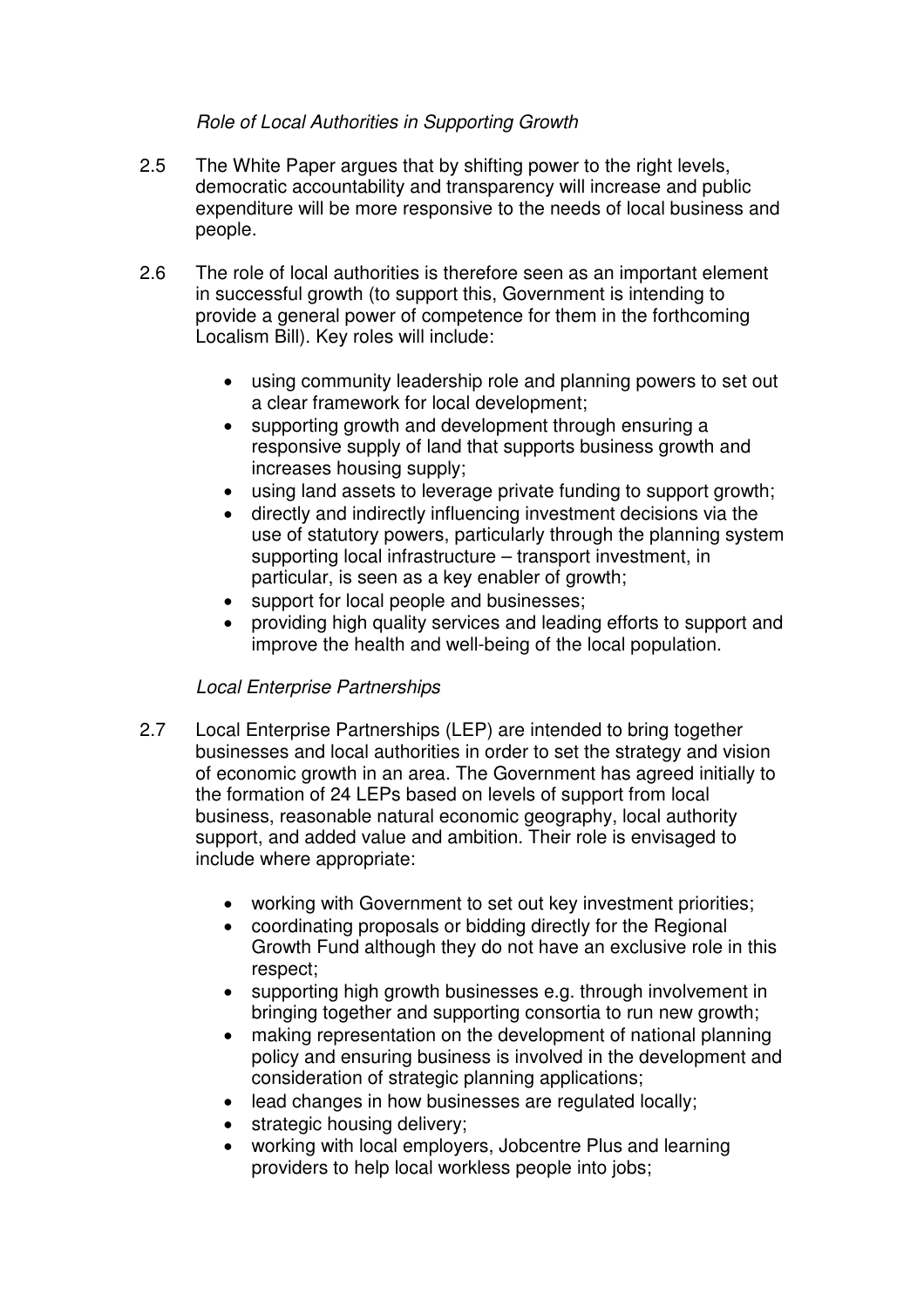## Role of Local Authorities in Supporting Growth

- 2.5 The White Paper argues that by shifting power to the right levels, democratic accountability and transparency will increase and public expenditure will be more responsive to the needs of local business and people.
- 2.6 The role of local authorities is therefore seen as an important element in successful growth (to support this, Government is intending to provide a general power of competence for them in the forthcoming Localism Bill). Key roles will include:
	- using community leadership role and planning powers to set out a clear framework for local development;
	- supporting growth and development through ensuring a responsive supply of land that supports business growth and increases housing supply;
	- using land assets to leverage private funding to support growth;
	- directly and indirectly influencing investment decisions via the use of statutory powers, particularly through the planning system supporting local infrastructure – transport investment, in particular, is seen as a key enabler of growth;
	- support for local people and businesses;
	- providing high quality services and leading efforts to support and improve the health and well-being of the local population.

#### Local Enterprise Partnerships

- 2.7 Local Enterprise Partnerships (LEP) are intended to bring together businesses and local authorities in order to set the strategy and vision of economic growth in an area. The Government has agreed initially to the formation of 24 LEPs based on levels of support from local business, reasonable natural economic geography, local authority support, and added value and ambition. Their role is envisaged to include where appropriate:
	- working with Government to set out key investment priorities;
	- coordinating proposals or bidding directly for the Regional Growth Fund although they do not have an exclusive role in this respect;
	- supporting high growth businesses e.g. through involvement in bringing together and supporting consortia to run new growth;
	- making representation on the development of national planning policy and ensuring business is involved in the development and consideration of strategic planning applications;
	- lead changes in how businesses are regulated locally;
	- strategic housing delivery;
	- working with local employers, Jobcentre Plus and learning providers to help local workless people into jobs;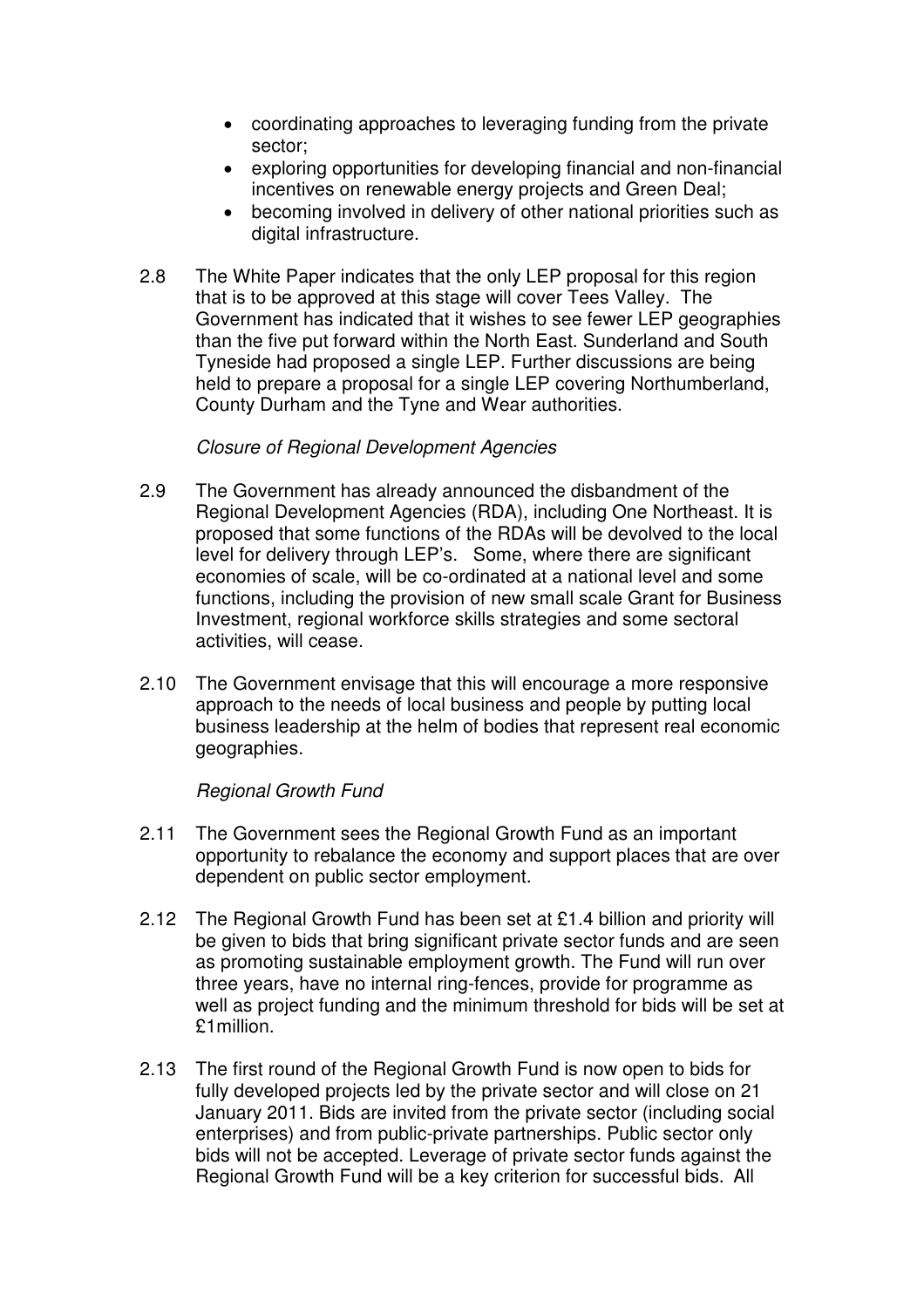- coordinating approaches to leveraging funding from the private sector;
- exploring opportunities for developing financial and non-financial incentives on renewable energy projects and Green Deal;
- becoming involved in delivery of other national priorities such as digital infrastructure.
- 2.8 The White Paper indicates that the only LEP proposal for this region that is to be approved at this stage will cover Tees Valley. The Government has indicated that it wishes to see fewer LEP geographies than the five put forward within the North East. Sunderland and South Tyneside had proposed a single LEP. Further discussions are being held to prepare a proposal for a single LEP covering Northumberland, County Durham and the Tyne and Wear authorities.

#### Closure of Regional Development Agencies

- 2.9 The Government has already announced the disbandment of the Regional Development Agencies (RDA), including One Northeast. It is proposed that some functions of the RDAs will be devolved to the local level for delivery through LEP's. Some, where there are significant economies of scale, will be co-ordinated at a national level and some functions, including the provision of new small scale Grant for Business Investment, regional workforce skills strategies and some sectoral activities, will cease.
- 2.10 The Government envisage that this will encourage a more responsive approach to the needs of local business and people by putting local business leadership at the helm of bodies that represent real economic geographies.

#### Regional Growth Fund

- 2.11 The Government sees the Regional Growth Fund as an important opportunity to rebalance the economy and support places that are over dependent on public sector employment.
- 2.12 The Regional Growth Fund has been set at £1.4 billion and priority will be given to bids that bring significant private sector funds and are seen as promoting sustainable employment growth. The Fund will run over three years, have no internal ring-fences, provide for programme as well as project funding and the minimum threshold for bids will be set at £1million.
- 2.13 The first round of the Regional Growth Fund is now open to bids for fully developed projects led by the private sector and will close on 21 January 2011. Bids are invited from the private sector (including social enterprises) and from public-private partnerships. Public sector only bids will not be accepted. Leverage of private sector funds against the Regional Growth Fund will be a key criterion for successful bids. All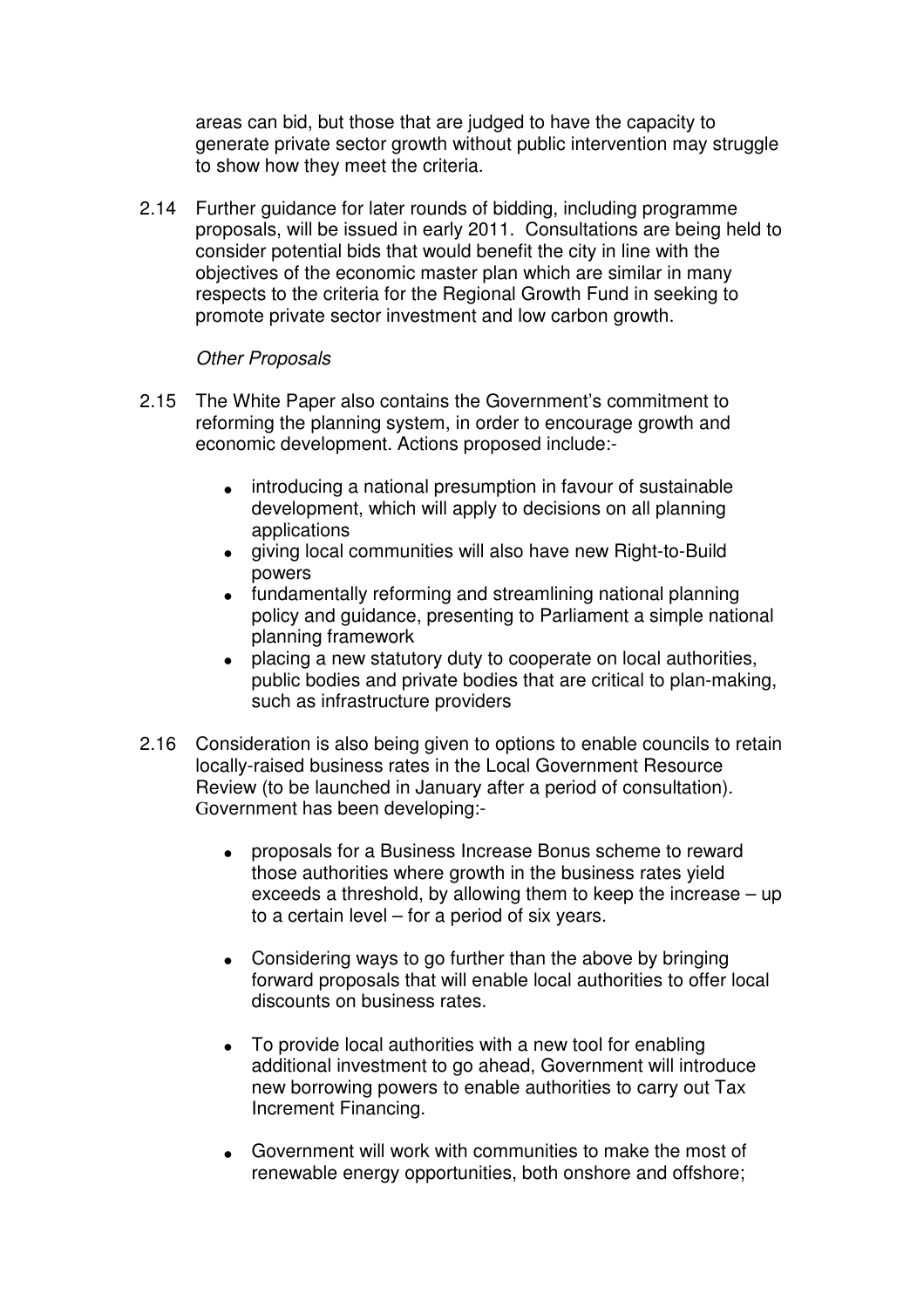areas can bid, but those that are judged to have the capacity to generate private sector growth without public intervention may struggle to show how they meet the criteria.

2.14 Further guidance for later rounds of bidding, including programme proposals, will be issued in early 2011. Consultations are being held to consider potential bids that would benefit the city in line with the objectives of the economic master plan which are similar in many respects to the criteria for the Regional Growth Fund in seeking to promote private sector investment and low carbon growth.

#### Other Proposals

- 2.15 The White Paper also contains the Government's commitment to reforming the planning system, in order to encourage growth and economic development. Actions proposed include:-
	- introducing a national presumption in favour of sustainable development, which will apply to decisions on all planning applications
	- giving local communities will also have new Right-to-Build powers
	- fundamentally reforming and streamlining national planning policy and guidance, presenting to Parliament a simple national planning framework
	- placing a new statutory duty to cooperate on local authorities, public bodies and private bodies that are critical to plan-making, such as infrastructure providers
- 2.16 Consideration is also being given to options to enable councils to retain locally-raised business rates in the Local Government Resource Review (to be launched in January after a period of consultation). Government has been developing:-
	- proposals for a Business Increase Bonus scheme to reward those authorities where growth in the business rates yield exceeds a threshold, by allowing them to keep the increase – up to a certain level – for a period of six years.
	- Considering ways to go further than the above by bringing forward proposals that will enable local authorities to offer local discounts on business rates.
	- To provide local authorities with a new tool for enabling additional investment to go ahead, Government will introduce new borrowing powers to enable authorities to carry out Tax Increment Financing.
	- Government will work with communities to make the most of renewable energy opportunities, both onshore and offshore;